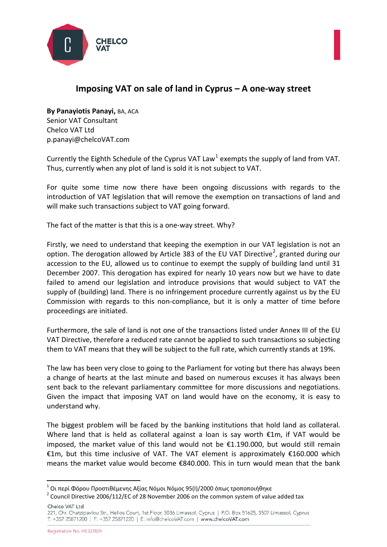



## **Imposing VAT on sale of land in Cyprus – A one-way street**

**By Panayiotis Panayi,** BA, ACA Senior VAT Consultant Chelco VAT Ltd [p.panayi@chelcoVAT.com](mailto:p.panayi@chelcoVAT.com)

Currently the Eighth Schedule of the Cyprus VAT Law<sup>[1](#page-0-0)</sup> exempts the supply of land from VAT. Thus, currently when any plot of land is sold it is not subject to VAT.

For quite some time now there have been ongoing discussions with regards to the introduction of VAT legislation that will remove the exemption on transactions of land and will make such transactions subject to VAT going forward.

The fact of the matter is that this is a one-way street. Why?

Firstly, we need to understand that keeping the exemption in our VAT legislation is not an option. The derogation allowed by Article 383 of the EU VAT Directive<sup>[2](#page-0-1)</sup>, granted during our accession to the EU, allowed us to continue to exempt the supply of building land until 31 December 2007. This derogation has expired for nearly 10 years now but we have to date failed to amend our legislation and introduce provisions that would subject to VAT the supply of (building) land. There is no infringement procedure currently against us by the EU Commission with regards to this non-compliance, but it is only a matter of time before proceedings are initiated.

Furthermore, the sale of land is not one of the transactions listed under Annex III of the EU VAT Directive, therefore a reduced rate cannot be applied to such transactions so subjecting them to VAT means that they will be subject to the full rate, which currently stands at 19%.

The law has been very close to going to the Parliament for voting but there has always been a change of hearts at the last minute and based on numerous excuses it has always been sent back to the relevant parliamentary committee for more discussions and negotiations. Given the impact that imposing VAT on land would have on the economy, it is easy to understand why.

The biggest problem will be faced by the banking institutions that hold land as collateral. Where land that is held as collateral against a loan is say worth €1m, if VAT would be imposed, the market value of this land would not be €1.190.000, but would still remain €1m, but this time inclusive of VAT. The VAT element is approximately €160.000 which means the market value would become €840.000. This in turn would mean that the bank

Chelco VAT Ltd

<span id="page-0-1"></span><span id="page-0-0"></span><sup>&</sup>lt;sup>1</sup> Οι περί Φόρου Προστιθέμενης Αξίας Νόμοι Νόμος 95(Ι)/2000 όπως τροποποιήθηκε<br><sup>2</sup> Council Directive 2006/112/EC of 28 November 2006 on the common system of value added tax

<sup>221,</sup> Chr. Chatzipavlou Str., Helios Court, 1st Floor, 3036 Limassol, Cyprus | P.O. Box 51625, 3507 Limassol, Cyprus T: +357 25871200 | F: +357 25871220 | E: info@chelcoVAT.com | www.chelcoVAT.com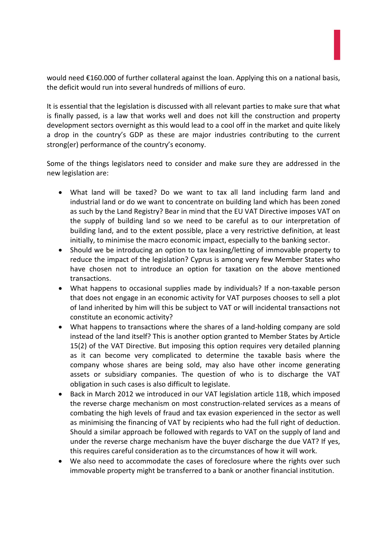

would need €160.000 of further collateral against the loan. Applying this on a national basis, the deficit would run into several hundreds of millions of euro.

It is essential that the legislation is discussed with all relevant parties to make sure that what is finally passed, is a law that works well and does not kill the construction and property development sectors overnight as this would lead to a cool off in the market and quite likely a drop in the country's GDP as these are major industries contributing to the current strong(er) performance of the country's economy.

Some of the things legislators need to consider and make sure they are addressed in the new legislation are:

- What land will be taxed? Do we want to tax all land including farm land and industrial land or do we want to concentrate on building land which has been zoned as such by the Land Registry? Bear in mind that the EU VAT Directive imposes VAT on the supply of building land so we need to be careful as to our interpretation of building land, and to the extent possible, place a very restrictive definition, at least initially, to minimise the macro economic impact, especially to the banking sector.
- Should we be introducing an option to tax leasing/letting of immovable property to reduce the impact of the legislation? Cyprus is among very few Member States who have chosen not to introduce an option for taxation on the above mentioned transactions.
- What happens to occasional supplies made by individuals? If a non-taxable person that does not engage in an economic activity for VAT purposes chooses to sell a plot of land inherited by him will this be subject to VAT or will incidental transactions not constitute an economic activity?
- What happens to transactions where the shares of a land-holding company are sold instead of the land itself? This is another option granted to Member States by Article 15(2) of the VAT Directive. But imposing this option requires very detailed planning as it can become very complicated to determine the taxable basis where the company whose shares are being sold, may also have other income generating assets or subsidiary companies. The question of who is to discharge the VAT obligation in such cases is also difficult to legislate.
- Back in March 2012 we introduced in our VAT legislation article 11B, which imposed the reverse charge mechanism on most construction-related services as a means of combating the high levels of fraud and tax evasion experienced in the sector as well as minimising the financing of VAT by recipients who had the full right of deduction. Should a similar approach be followed with regards to VAT on the supply of land and under the reverse charge mechanism have the buyer discharge the due VAT? If yes, this requires careful consideration as to the circumstances of how it will work.
- We also need to accommodate the cases of foreclosure where the rights over such immovable property might be transferred to a bank or another financial institution.